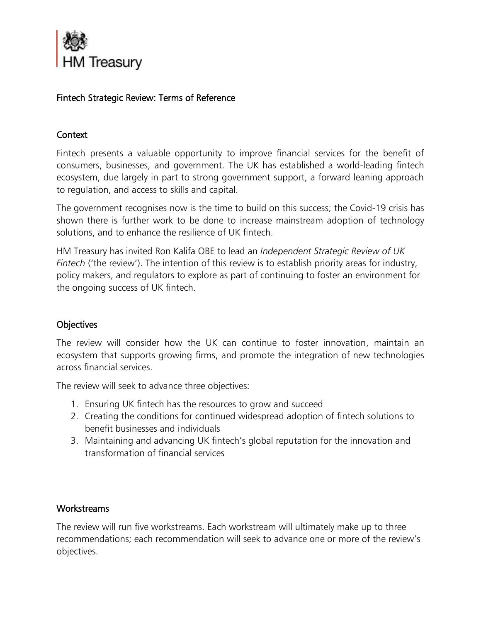

# Fintech Strategic Review: Terms of Reference

#### **Context**

Fintech presents a valuable opportunity to improve financial services for the benefit of consumers, businesses, and government. The UK has established a world-leading fintech ecosystem, due largely in part to strong government support, a forward leaning approach to regulation, and access to skills and capital.

The government recognises now is the time to build on this success; the Covid-19 crisis has shown there is further work to be done to increase mainstream adoption of technology solutions, and to enhance the resilience of UK fintech.

HM Treasury has invited Ron Kalifa OBE to lead an *Independent Strategic Review of UK Fintech* ('the review'). The intention of this review is to establish priority areas for industry, policy makers, and regulators to explore as part of continuing to foster an environment for the ongoing success of UK fintech.

## **Objectives**

The review will consider how the UK can continue to foster innovation, maintain an ecosystem that supports growing firms, and promote the integration of new technologies across financial services.

The review will seek to advance three objectives:

- 1. Ensuring UK fintech has the resources to grow and succeed
- 2. Creating the conditions for continued widespread adoption of fintech solutions to benefit businesses and individuals
- 3. Maintaining and advancing UK fintech's global reputation for the innovation and transformation of financial services

## **Workstreams**

The review will run five workstreams. Each workstream will ultimately make up to three recommendations; each recommendation will seek to advance one or more of the review's objectives.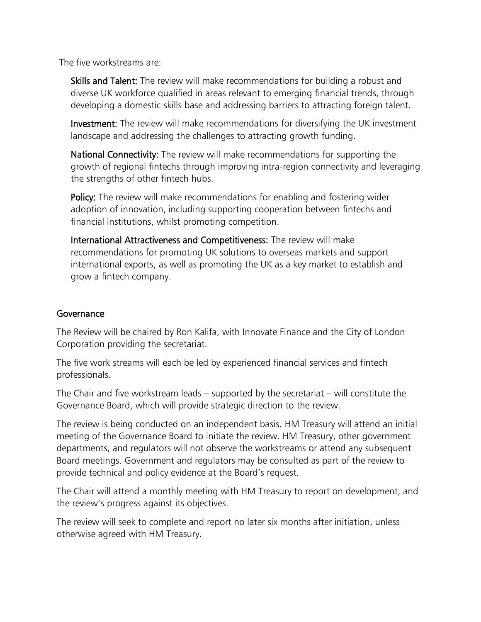The five workstreams are:

Skills and Talent: The review will make recommendations for building a robust and diverse UK workforce qualified in areas relevant to emerging financial trends, through developing a domestic skills base and addressing barriers to attracting foreign talent.

Investment: The review will make recommendations for diversifying the UK investment landscape and addressing the challenges to attracting growth funding.

National Connectivity: The review will make recommendations for supporting the growth of regional fintechs through improving intra-region connectivity and leveraging the strengths of other fintech hubs.

Policy: The review will make recommendations for enabling and fostering wider adoption of innovation, including supporting cooperation between fintechs and financial institutions, whilst promoting competition.

International Attractiveness and Competitiveness: The review will make recommendations for promoting UK solutions to overseas markets and support international exports, as well as promoting the UK as a key market to establish and grow a fintech company.

#### Governance

The Review will be chaired by Ron Kalifa, with Innovate Finance and the City of London Corporation providing the secretariat.

The five work streams will each be led by experienced financial services and fintech professionals.

The Chair and five workstream leads – supported by the secretariat – will constitute the Governance Board, which will provide strategic direction to the review.

The review is being conducted on an independent basis. HM Treasury will attend an initial meeting of the Governance Board to initiate the review. HM Treasury, other government departments, and regulators will not observe the workstreams or attend any subsequent Board meetings. Government and regulators may be consulted as part of the review to provide technical and policy evidence at the Board's request.

The Chair will attend a monthly meeting with HM Treasury to report on development, and the review's progress against its objectives.

The review will seek to complete and report no later six months after initiation, unless otherwise agreed with HM Treasury.